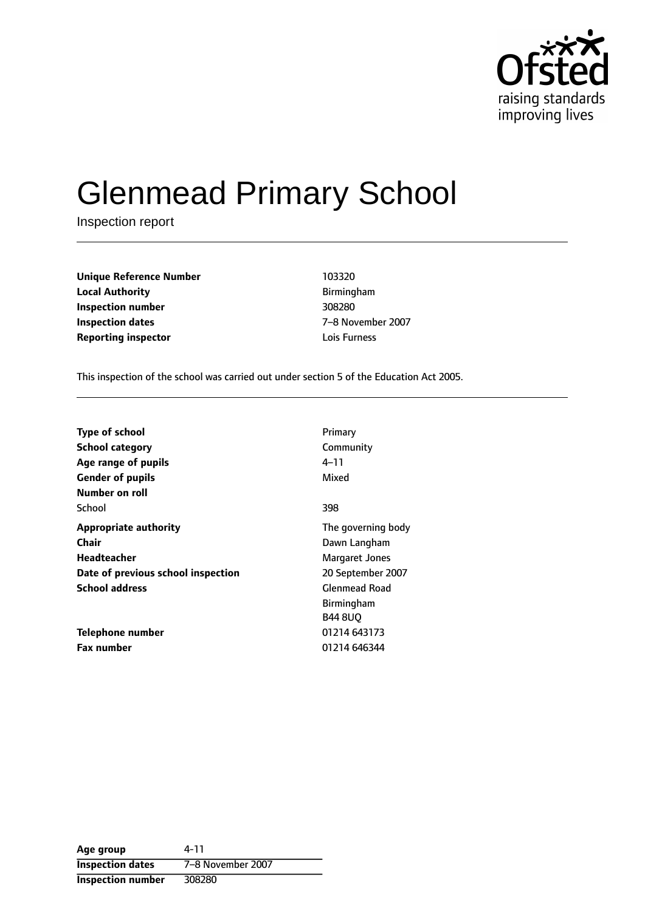

# Glenmead Primary School

Inspection report

| <b>Unique Reference Number</b> | 103320       |
|--------------------------------|--------------|
| <b>Local Authority</b>         | Birmingham   |
| Inspection number              | 308280       |
| Inspection dates               | 7-8 Novemb   |
| <b>Reporting inspector</b>     | Lois Furness |

**Local Authority** Birmingham **Inspection number** 308280 **Inspection dates** 78 November 2007

This inspection of the school was carried out under section 5 of the Education Act 2005.

| <b>Type of school</b>              | Primary              |
|------------------------------------|----------------------|
| <b>School category</b>             | Community            |
| Age range of pupils                | 4–11                 |
| <b>Gender of pupils</b>            | Mixed                |
| Number on roll                     |                      |
| School                             | 398                  |
| <b>Appropriate authority</b>       | The governing body   |
| Chair                              | Dawn Langham         |
| Headteacher                        | Margaret Jones       |
| Date of previous school inspection | 20 September 2007    |
| <b>School address</b>              | <b>Glenmead Road</b> |
|                                    | <b>Birmingham</b>    |
|                                    | <b>B44 8UO</b>       |
| Telephone number                   | 01214 643173         |
| <b>Fax number</b>                  | 01214 646344         |

**Age group** 4-11 **Inspection dates** 7-8 November 2007 **Inspection number** 308280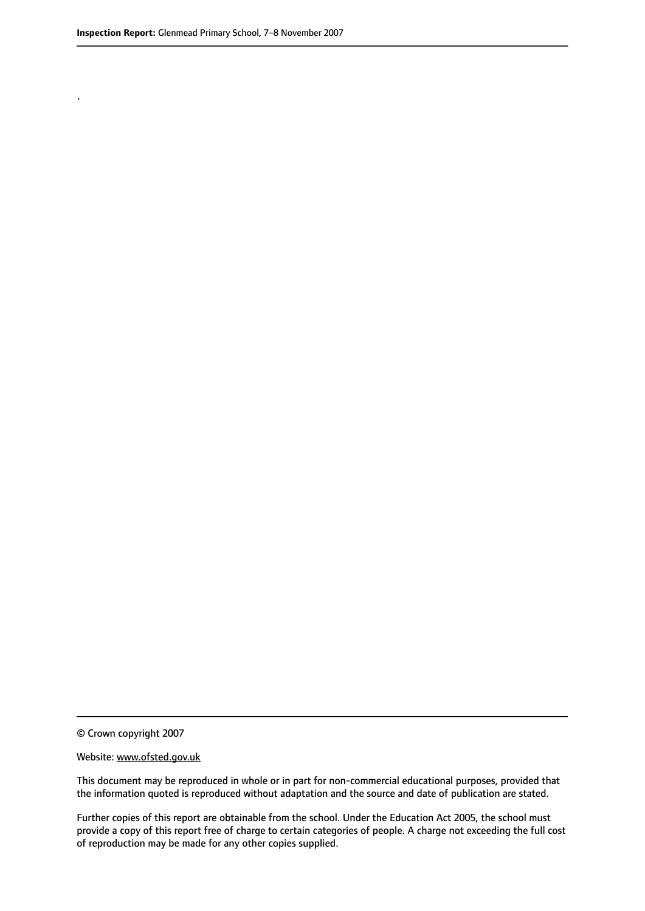.

This document may be reproduced in whole or in part for non-commercial educational purposes, provided that the information quoted is reproduced without adaptation and the source and date of publication are stated.

Further copies of this report are obtainable from the school. Under the Education Act 2005, the school must provide a copy of this report free of charge to certain categories of people. A charge not exceeding the full cost of reproduction may be made for any other copies supplied.

<sup>©</sup> Crown copyright 2007

Website: www.ofsted.gov.uk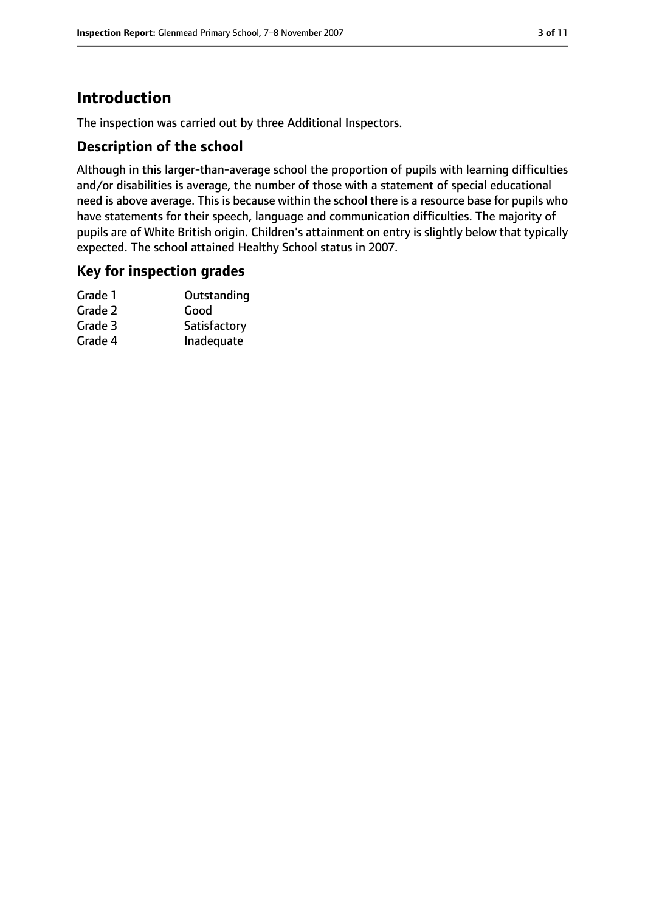# **Introduction**

The inspection was carried out by three Additional Inspectors.

# **Description of the school**

Although in this larger-than-average school the proportion of pupils with learning difficulties and/or disabilities is average, the number of those with a statement of special educational need is above average. This is because within the school there is a resource base for pupils who have statements for their speech, language and communication difficulties. The majority of pupils are of White British origin. Children's attainment on entry is slightly below that typically expected. The school attained Healthy School status in 2007.

### **Key for inspection grades**

| Outstanding  |
|--------------|
| Good         |
| Satisfactory |
| Inadequate   |
|              |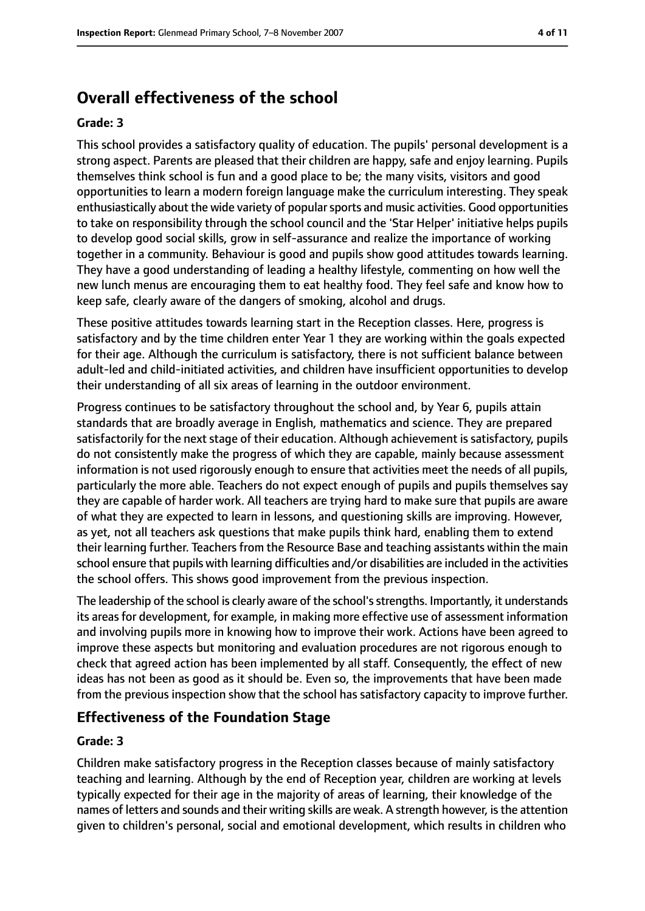# **Overall effectiveness of the school**

#### **Grade: 3**

This school provides a satisfactory quality of education. The pupils' personal development is a strong aspect. Parents are pleased that their children are happy, safe and enjoy learning. Pupils themselves think school is fun and a good place to be; the many visits, visitors and good opportunities to learn a modern foreign language make the curriculum interesting. They speak enthusiastically about the wide variety of popular sports and music activities. Good opportunities to take on responsibility through the school council and the 'Star Helper' initiative helps pupils to develop good social skills, grow in self-assurance and realize the importance of working together in a community. Behaviour is good and pupils show good attitudes towards learning. They have a good understanding of leading a healthy lifestyle, commenting on how well the new lunch menus are encouraging them to eat healthy food. They feel safe and know how to keep safe, clearly aware of the dangers of smoking, alcohol and drugs.

These positive attitudes towards learning start in the Reception classes. Here, progress is satisfactory and by the time children enter Year 1 they are working within the goals expected for their age. Although the curriculum is satisfactory, there is not sufficient balance between adult-led and child-initiated activities, and children have insufficient opportunities to develop their understanding of all six areas of learning in the outdoor environment.

Progress continues to be satisfactory throughout the school and, by Year 6, pupils attain standards that are broadly average in English, mathematics and science. They are prepared satisfactorily for the next stage of their education. Although achievement is satisfactory, pupils do not consistently make the progress of which they are capable, mainly because assessment information is not used rigorously enough to ensure that activities meet the needs of all pupils, particularly the more able. Teachers do not expect enough of pupils and pupils themselves say they are capable of harder work. All teachers are trying hard to make sure that pupils are aware of what they are expected to learn in lessons, and questioning skills are improving. However, as yet, not all teachers ask questions that make pupils think hard, enabling them to extend their learning further. Teachers from the Resource Base and teaching assistants within the main school ensure that pupils with learning difficulties and/or disabilities are included in the activities the school offers. This shows good improvement from the previous inspection.

The leadership of the school is clearly aware of the school's strengths. Importantly, it understands its areas for development, for example, in making more effective use of assessment information and involving pupils more in knowing how to improve their work. Actions have been agreed to improve these aspects but monitoring and evaluation procedures are not rigorous enough to check that agreed action has been implemented by all staff. Consequently, the effect of new ideas has not been as good as it should be. Even so, the improvements that have been made from the previous inspection show that the school has satisfactory capacity to improve further.

### **Effectiveness of the Foundation Stage**

#### **Grade: 3**

Children make satisfactory progress in the Reception classes because of mainly satisfactory teaching and learning. Although by the end of Reception year, children are working at levels typically expected for their age in the majority of areas of learning, their knowledge of the names of letters and sounds and their writing skills are weak. A strength however, isthe attention given to children's personal, social and emotional development, which results in children who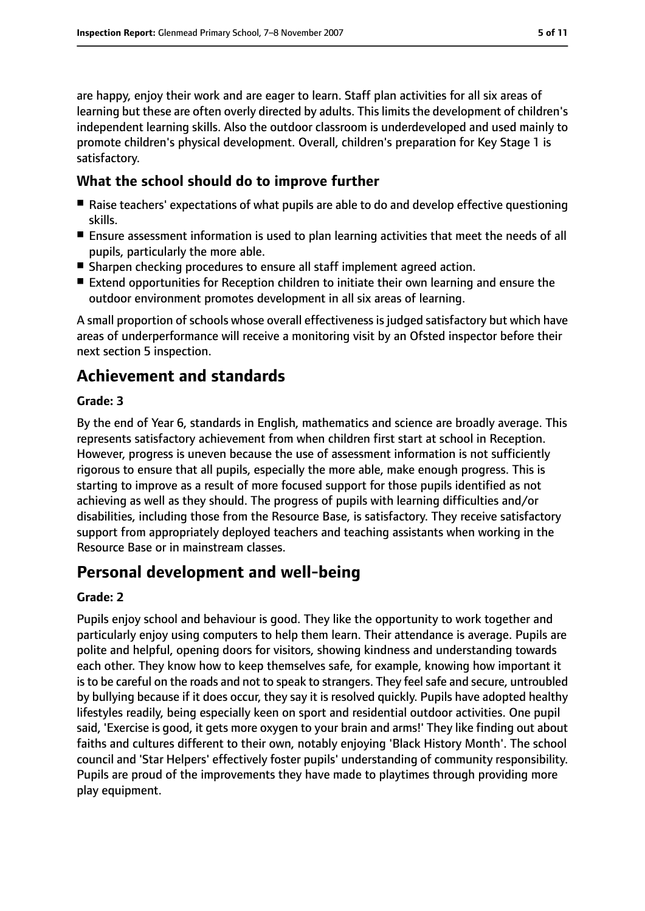are happy, enjoy their work and are eager to learn. Staff plan activities for all six areas of learning but these are often overly directed by adults. This limits the development of children's independent learning skills. Also the outdoor classroom is underdeveloped and used mainly to promote children's physical development. Overall, children's preparation for Key Stage 1 is satisfactory.

# **What the school should do to improve further**

- Raise teachers' expectations of what pupils are able to do and develop effective questioning skills.
- Ensure assessment information is used to plan learning activities that meet the needs of all pupils, particularly the more able.
- Sharpen checking procedures to ensure all staff implement agreed action.
- Extend opportunities for Reception children to initiate their own learning and ensure the outdoor environment promotes development in all six areas of learning.

A small proportion of schools whose overall effectiveness is judged satisfactory but which have areas of underperformance will receive a monitoring visit by an Ofsted inspector before their next section 5 inspection.

# **Achievement and standards**

### **Grade: 3**

By the end of Year 6, standards in English, mathematics and science are broadly average. This represents satisfactory achievement from when children first start at school in Reception. However, progress is uneven because the use of assessment information is not sufficiently rigorous to ensure that all pupils, especially the more able, make enough progress. This is starting to improve as a result of more focused support for those pupils identified as not achieving as well as they should. The progress of pupils with learning difficulties and/or disabilities, including those from the Resource Base, is satisfactory. They receive satisfactory support from appropriately deployed teachers and teaching assistants when working in the Resource Base or in mainstream classes.

# **Personal development and well-being**

### **Grade: 2**

Pupils enjoy school and behaviour is good. They like the opportunity to work together and particularly enjoy using computers to help them learn. Their attendance is average. Pupils are polite and helpful, opening doors for visitors, showing kindness and understanding towards each other. They know how to keep themselves safe, for example, knowing how important it is to be careful on the roads and not to speak to strangers. They feel safe and secure, untroubled by bullying because if it does occur, they say it is resolved quickly. Pupils have adopted healthy lifestyles readily, being especially keen on sport and residential outdoor activities. One pupil said, 'Exercise is good, it gets more oxygen to your brain and arms!' They like finding out about faiths and cultures different to their own, notably enjoying 'Black History Month'. The school council and 'Star Helpers' effectively foster pupils' understanding of community responsibility. Pupils are proud of the improvements they have made to playtimes through providing more play equipment.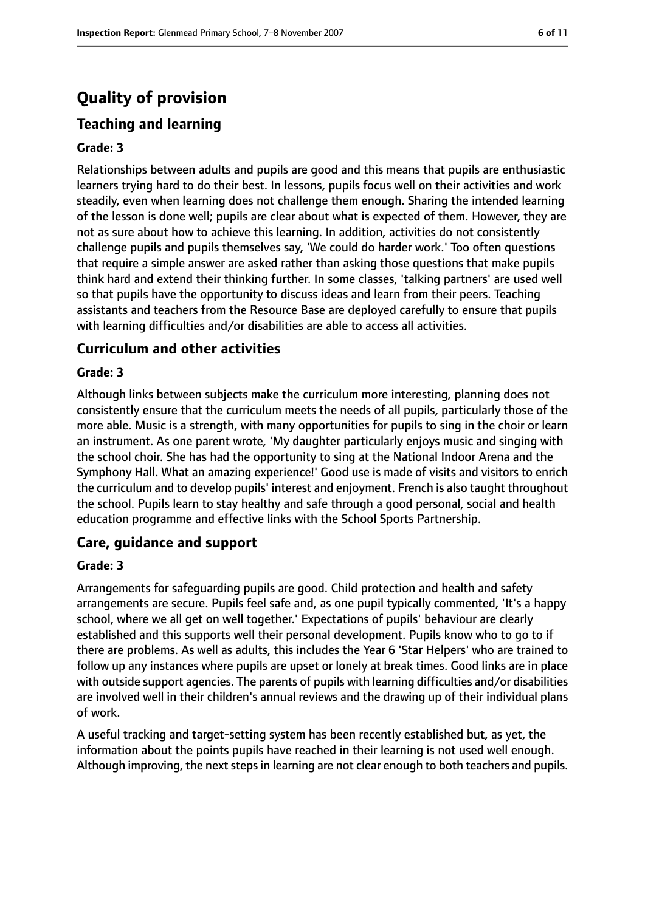# **Quality of provision**

### **Teaching and learning**

#### **Grade: 3**

Relationships between adults and pupils are good and this means that pupils are enthusiastic learners trying hard to do their best. In lessons, pupils focus well on their activities and work steadily, even when learning does not challenge them enough. Sharing the intended learning of the lesson is done well; pupils are clear about what is expected of them. However, they are not as sure about how to achieve this learning. In addition, activities do not consistently challenge pupils and pupils themselves say, 'We could do harder work.' Too often questions that require a simple answer are asked rather than asking those questions that make pupils think hard and extend their thinking further. In some classes, 'talking partners' are used well so that pupils have the opportunity to discuss ideas and learn from their peers. Teaching assistants and teachers from the Resource Base are deployed carefully to ensure that pupils with learning difficulties and/or disabilities are able to access all activities.

#### **Curriculum and other activities**

#### **Grade: 3**

Although links between subjects make the curriculum more interesting, planning does not consistently ensure that the curriculum meets the needs of all pupils, particularly those of the more able. Music is a strength, with many opportunities for pupils to sing in the choir or learn an instrument. As one parent wrote, 'My daughter particularly enjoys music and singing with the school choir. She has had the opportunity to sing at the National Indoor Arena and the Symphony Hall. What an amazing experience!' Good use is made of visits and visitors to enrich the curriculum and to develop pupils' interest and enjoyment. French is also taught throughout the school. Pupils learn to stay healthy and safe through a good personal, social and health education programme and effective links with the School Sports Partnership.

#### **Care, guidance and support**

#### **Grade: 3**

Arrangements for safeguarding pupils are good. Child protection and health and safety arrangements are secure. Pupils feel safe and, as one pupil typically commented, 'It's a happy school, where we all get on well together.' Expectations of pupils' behaviour are clearly established and this supports well their personal development. Pupils know who to go to if there are problems. As well as adults, this includes the Year 6 'Star Helpers' who are trained to follow up any instances where pupils are upset or lonely at break times. Good links are in place with outside support agencies. The parents of pupils with learning difficulties and/or disabilities are involved well in their children's annual reviews and the drawing up of their individual plans of work.

A useful tracking and target-setting system has been recently established but, as yet, the information about the points pupils have reached in their learning is not used well enough. Although improving, the next steps in learning are not clear enough to both teachers and pupils.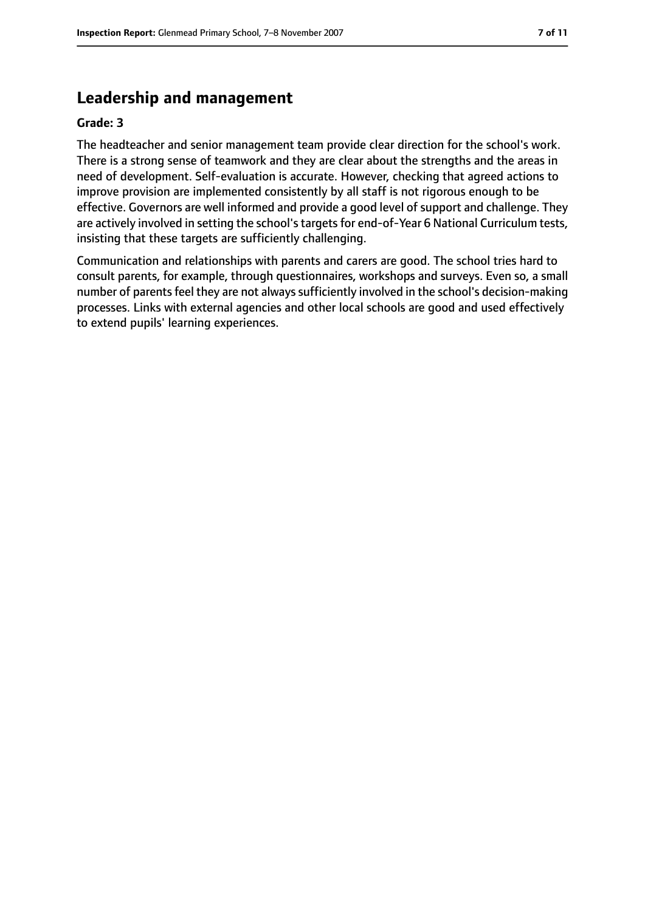# **Leadership and management**

#### **Grade: 3**

The headteacher and senior management team provide clear direction for the school's work. There is a strong sense of teamwork and they are clear about the strengths and the areas in need of development. Self-evaluation is accurate. However, checking that agreed actions to improve provision are implemented consistently by all staff is not rigorous enough to be effective. Governors are well informed and provide a good level of support and challenge. They are actively involved in setting the school's targets for end-of-Year 6 National Curriculum tests, insisting that these targets are sufficiently challenging.

Communication and relationships with parents and carers are good. The school tries hard to consult parents, for example, through questionnaires, workshops and surveys. Even so, a small number of parents feel they are not always sufficiently involved in the school's decision-making processes. Links with external agencies and other local schools are good and used effectively to extend pupils' learning experiences.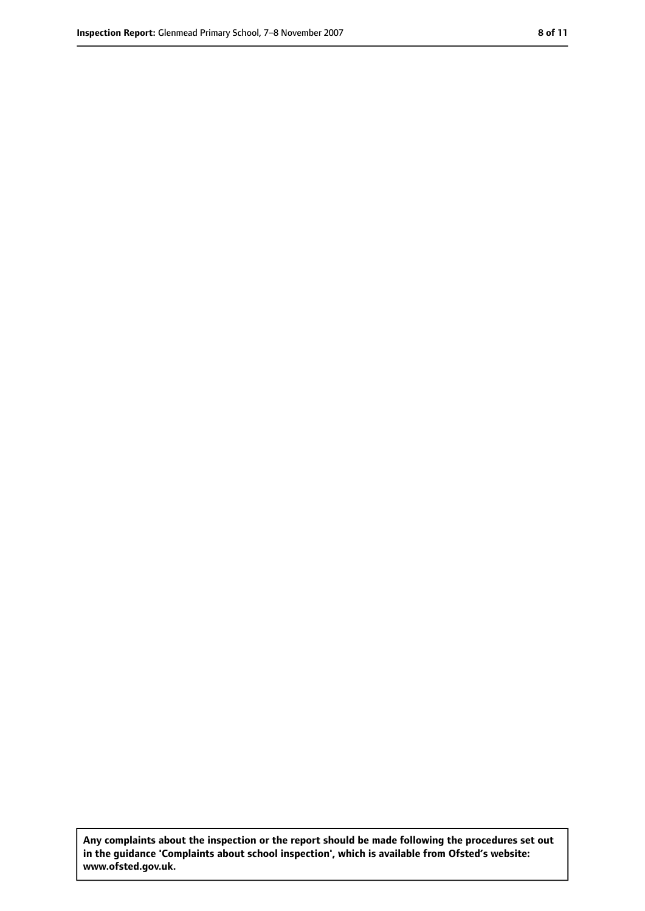**Any complaints about the inspection or the report should be made following the procedures set out in the guidance 'Complaints about school inspection', which is available from Ofsted's website: www.ofsted.gov.uk.**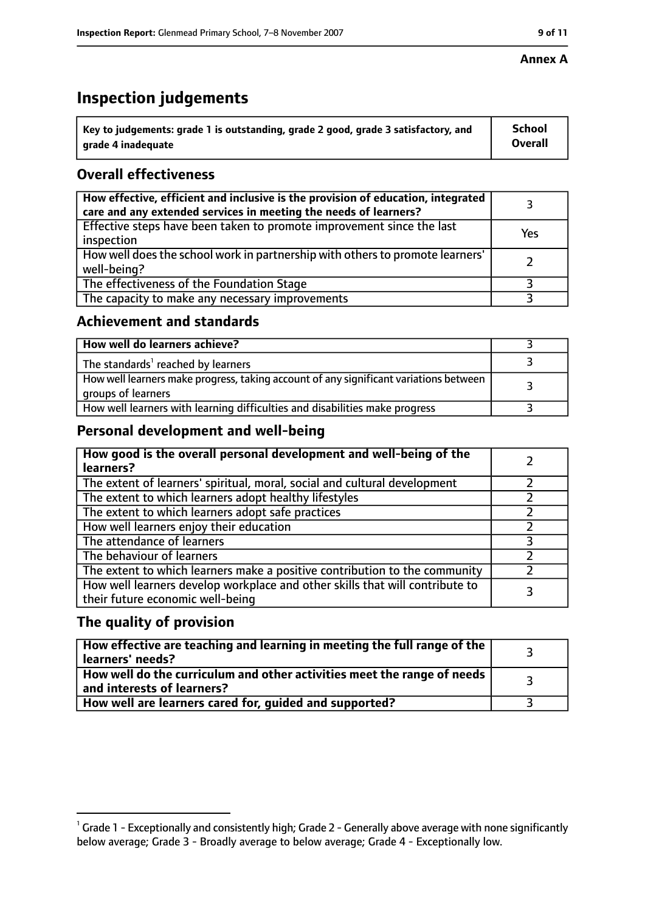#### **Annex A**

# **Inspection judgements**

| $^{\backprime}$ Key to judgements: grade 1 is outstanding, grade 2 good, grade 3 satisfactory, and | <b>School</b>  |
|----------------------------------------------------------------------------------------------------|----------------|
| arade 4 inadequate                                                                                 | <b>Overall</b> |

# **Overall effectiveness**

| How effective, efficient and inclusive is the provision of education, integrated<br>care and any extended services in meeting the needs of learners? |     |
|------------------------------------------------------------------------------------------------------------------------------------------------------|-----|
| Effective steps have been taken to promote improvement since the last<br>inspection                                                                  | Yes |
| How well does the school work in partnership with others to promote learners'<br>well-being?                                                         |     |
| The effectiveness of the Foundation Stage                                                                                                            |     |
| The capacity to make any necessary improvements                                                                                                      |     |

### **Achievement and standards**

| How well do learners achieve?                                                                               |  |
|-------------------------------------------------------------------------------------------------------------|--|
| The standards <sup>1</sup> reached by learners                                                              |  |
| How well learners make progress, taking account of any significant variations between<br>groups of learners |  |
| How well learners with learning difficulties and disabilities make progress                                 |  |

# **Personal development and well-being**

| How good is the overall personal development and well-being of the<br>learners?                                  |  |
|------------------------------------------------------------------------------------------------------------------|--|
| The extent of learners' spiritual, moral, social and cultural development                                        |  |
| The extent to which learners adopt healthy lifestyles                                                            |  |
| The extent to which learners adopt safe practices                                                                |  |
| How well learners enjoy their education                                                                          |  |
| The attendance of learners                                                                                       |  |
| The behaviour of learners                                                                                        |  |
| The extent to which learners make a positive contribution to the community                                       |  |
| How well learners develop workplace and other skills that will contribute to<br>their future economic well-being |  |

# **The quality of provision**

| How effective are teaching and learning in meeting the full range of the<br>learners' needs?          |  |
|-------------------------------------------------------------------------------------------------------|--|
| How well do the curriculum and other activities meet the range of needs<br>and interests of learners? |  |
| How well are learners cared for, guided and supported?                                                |  |

 $^1$  Grade 1 - Exceptionally and consistently high; Grade 2 - Generally above average with none significantly below average; Grade 3 - Broadly average to below average; Grade 4 - Exceptionally low.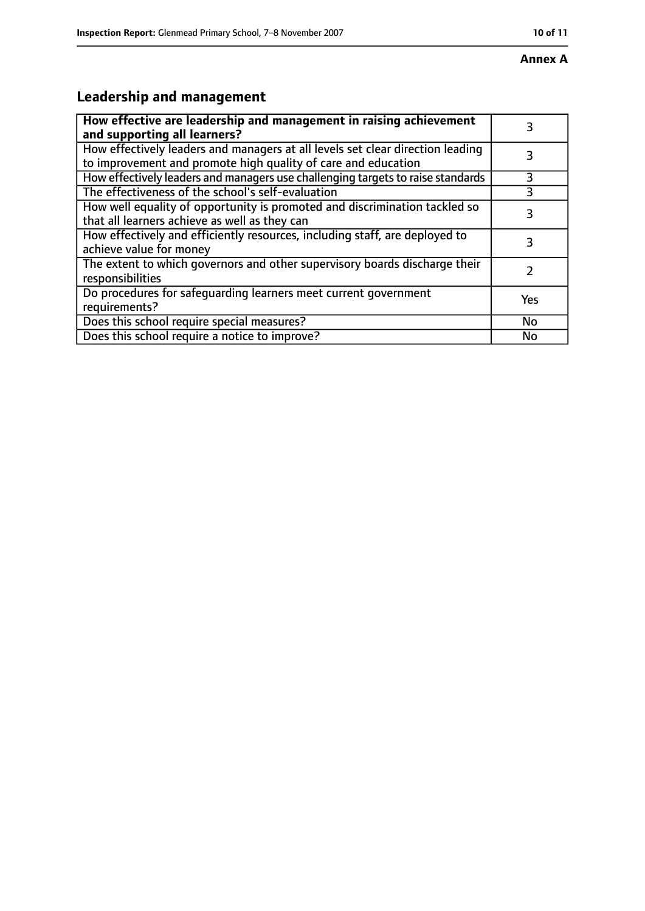# **Leadership and management**

| How effective are leadership and management in raising achievement<br>and supporting all learners?                                              |     |
|-------------------------------------------------------------------------------------------------------------------------------------------------|-----|
| How effectively leaders and managers at all levels set clear direction leading<br>to improvement and promote high quality of care and education |     |
| How effectively leaders and managers use challenging targets to raise standards                                                                 | 3   |
| The effectiveness of the school's self-evaluation                                                                                               |     |
| How well equality of opportunity is promoted and discrimination tackled so<br>that all learners achieve as well as they can                     | 3   |
| How effectively and efficiently resources, including staff, are deployed to<br>achieve value for money                                          | 3   |
| The extent to which governors and other supervisory boards discharge their<br>responsibilities                                                  |     |
| Do procedures for safequarding learners meet current government<br>requirements?                                                                | Yes |
| Does this school require special measures?                                                                                                      | No  |
| Does this school require a notice to improve?                                                                                                   | No  |